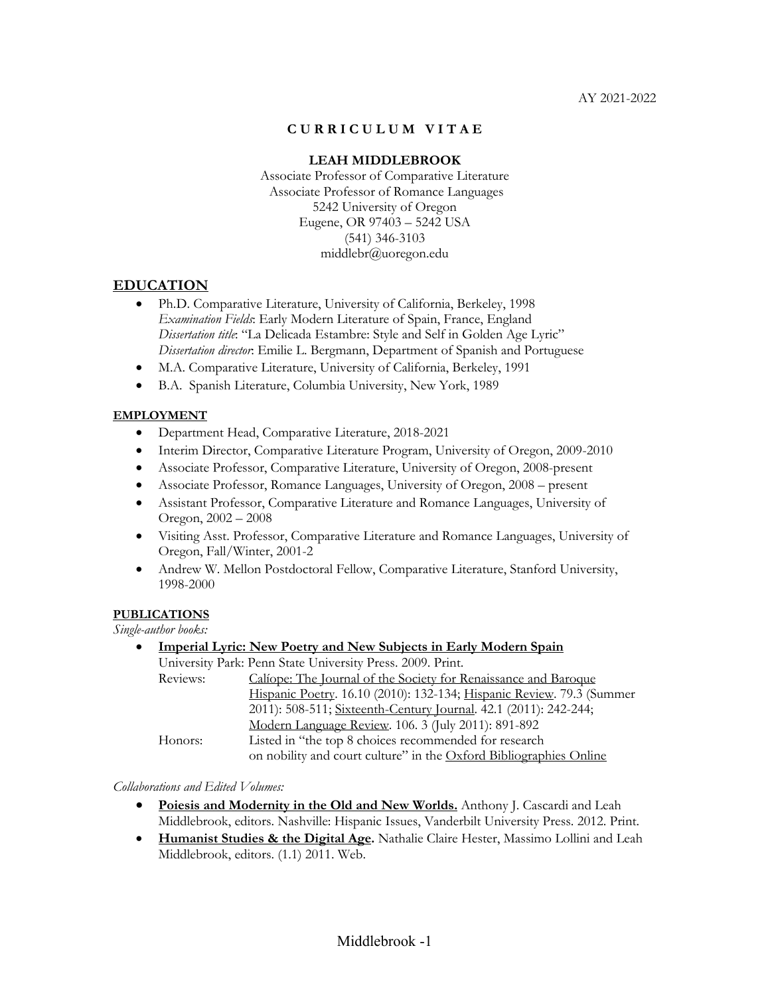### **C U R R I C U L U M V I T A E**

### **LEAH MIDDLEBROOK**

Associate Professor of Comparative Literature Associate Professor of Romance Languages 5242 University of Oregon Eugene, OR 97403 – 5242 USA (541) 346-3103 middlebr@uoregon.edu

### **EDUCATION**

- Ph.D. Comparative Literature, University of California, Berkeley, 1998 *Examination Fields*: Early Modern Literature of Spain, France, England *Dissertation title*: "La Delicada Estambre: Style and Self in Golden Age Lyric" *Dissertation director*: Emilie L. Bergmann, Department of Spanish and Portuguese
- M.A. Comparative Literature, University of California, Berkeley, 1991
- B.A. Spanish Literature, Columbia University, New York, 1989

### **EMPLOYMENT**

- Department Head, Comparative Literature, 2018-2021
- Interim Director, Comparative Literature Program, University of Oregon, 2009-2010
- Associate Professor, Comparative Literature, University of Oregon, 2008-present
- Associate Professor, Romance Languages, University of Oregon, 2008 present
- Assistant Professor, Comparative Literature and Romance Languages, University of Oregon, 2002 – 2008
- Visiting Asst. Professor, Comparative Literature and Romance Languages, University of Oregon, Fall/Winter, 2001-2
- Andrew W. Mellon Postdoctoral Fellow, Comparative Literature, Stanford University, 1998-2000

#### **PUBLICATIONS**

*Single-author books:*

| $\bullet$ |          | <b>Imperial Lyric: New Poetry and New Subjects in Early Modern Spain</b> |
|-----------|----------|--------------------------------------------------------------------------|
|           |          | University Park: Penn State University Press. 2009. Print.               |
|           | Reviews: | Caliope: The Journal of the Society for Renaissance and Baroque          |
|           |          | Hispanic Poetry. 16.10 (2010): 132-134; Hispanic Review. 79.3 (Summer    |
|           |          | 2011): 508-511; Sixteenth-Century Journal. 42.1 (2011): 242-244;         |
|           |          | Modern Language Review. 106. 3 (July 2011): 891-892                      |
|           | Honors:  | Listed in "the top 8 choices recommended for research                    |
|           |          | on nobility and court culture" in the Oxford Bibliographies Online       |

*Collaborations and Edited Volumes:*

- **Poiesis and Modernity in the Old and New Worlds.** Anthony J. Cascardi and Leah Middlebrook, editors. Nashville: Hispanic Issues, Vanderbilt University Press. 2012. Print.
- **Humanist Studies & the Digital Age.** Nathalie Claire Hester, Massimo Lollini and Leah Middlebrook, editors. (1.1) 2011. Web.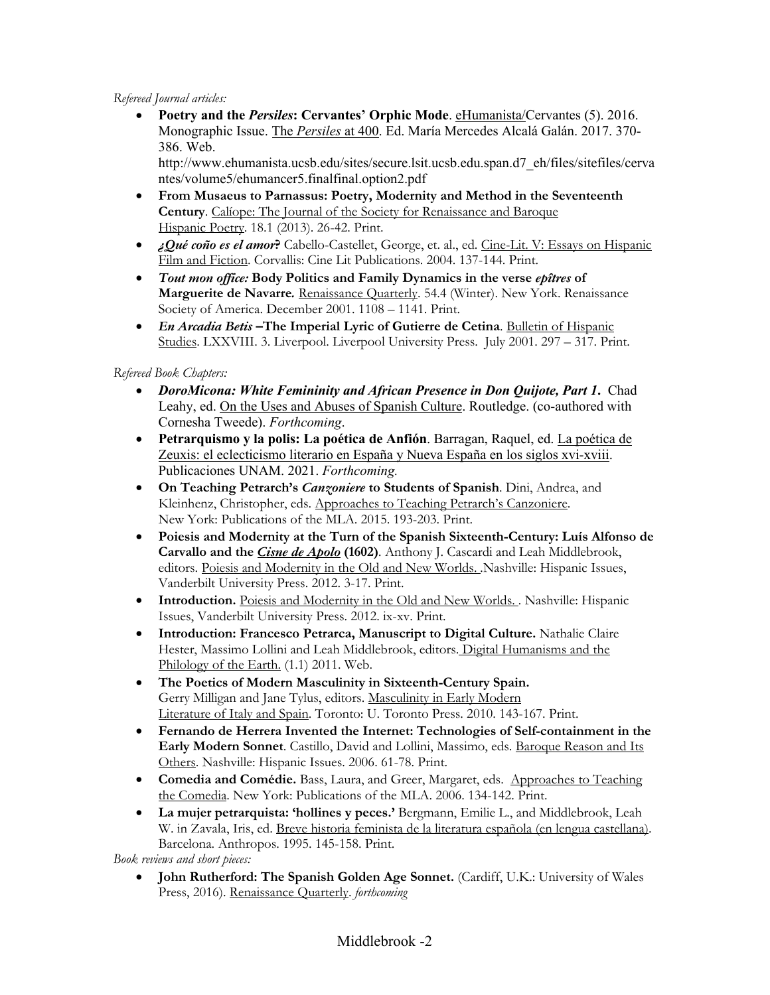### *Refereed Journal articles:*

• **Poetry and the** *Persiles***: Cervantes' Orphic Mode**. eHumanista/Cervantes (5). 2016. Monographic Issue. The *Persiles* at 400. Ed. María Mercedes Alcalá Galán. 2017. 370- 386. Web.

http://www.ehumanista.ucsb.edu/sites/secure.lsit.ucsb.edu.span.d7\_eh/files/sitefiles/cerva ntes/volume5/ehumancer5.finalfinal.option2.pdf

- **From Musaeus to Parnassus: Poetry, Modernity and Method in the Seventeenth Century**. Calíope: The Journal of the Society for Renaissance and Baroque Hispanic Poetry. 18.1 (2013). 26-42. Print.
- *¿Qué coño es el amor***?** Cabello-Castellet, George, et. al., ed. Cine-Lit. V: Essays on Hispanic Film and Fiction. Corvallis: Cine Lit Publications. 2004. 137-144. Print.
- *Tout mon office:* **Body Politics and Family Dynamics in the verse** *epîtres* **of Marguerite de Navarre***.* Renaissance Quarterly. 54.4 (Winter). New York. Renaissance Society of America. December 2001. 1108 – 1141. Print.
- *En Arcadia Betis* **–The Imperial Lyric of Gutierre de Cetina**. Bulletin of Hispanic Studies. LXXVIII. 3. Liverpool. Liverpool University Press. July 2001. 297 – 317. Print.

# *Refereed Book Chapters:*

- *DoroMicona: White Femininity and African Presence in Don Quijote, Part 1***.** Chad Leahy, ed. On the Uses and Abuses of Spanish Culture. Routledge. (co-authored with Cornesha Tweede). *Forthcoming*.
- **Petrarquismo y la polis: La poética de Anfión**. Barragan, Raquel, ed. La poética de Zeuxis: el eclecticismo literario en España y Nueva España en los siglos xvi-xviii. Publicaciones UNAM. 2021. *Forthcoming.*
- **On Teaching Petrarch's** *Canzoniere* **to Students of Spanish**. Dini, Andrea, and Kleinhenz, Christopher, eds. Approaches to Teaching Petrarch's Canzoniere. New York: Publications of the MLA. 2015. 193-203. Print.
- **Poiesis and Modernity at the Turn of the Spanish Sixteenth-Century: Luís Alfonso de Carvallo and the** *Cisne de Apolo* **(1602)***.* Anthony J. Cascardi and Leah Middlebrook, editors. Poiesis and Modernity in the Old and New Worlds. *.*Nashville: Hispanic Issues, Vanderbilt University Press. 2012. 3-17. Print.
- **Introduction.** Poiesis and Modernity in the Old and New Worlds. *.* Nashville: Hispanic Issues, Vanderbilt University Press. 2012. ix-xv. Print.
- **Introduction: Francesco Petrarca, Manuscript to Digital Culture.** Nathalie Claire Hester, Massimo Lollini and Leah Middlebrook, editors. Digital Humanisms and the Philology of the Earth. (1.1) 2011. Web.
- **The Poetics of Modern Masculinity in Sixteenth-Century Spain.** Gerry Milligan and Jane Tylus, editors. Masculinity in Early Modern Literature of Italy and Spain. Toronto: U. Toronto Press. 2010. 143-167. Print.
- **Fernando de Herrera Invented the Internet: Technologies of Self-containment in the Early Modern Sonnet**. Castillo, David and Lollini, Massimo, eds. Baroque Reason and Its Others. Nashville: Hispanic Issues. 2006. 61-78. Print.
- **Comedia and Comédie.** Bass, Laura, and Greer, Margaret, eds. Approaches to Teaching the Comedia. New York: Publications of the MLA. 2006. 134-142. Print.
- **La mujer petrarquista: 'hollines y peces.'** Bergmann, Emilie L., and Middlebrook, Leah W. in Zavala, Iris, ed. Breve historia feminista de la literatura española (en lengua castellana). Barcelona. Anthropos. 1995. 145-158. Print.

*Book reviews and short pieces:*

• **John Rutherford: The Spanish Golden Age Sonnet.** (Cardiff, U.K.: University of Wales Press, 2016). Renaissance Quarterly. *forthcoming*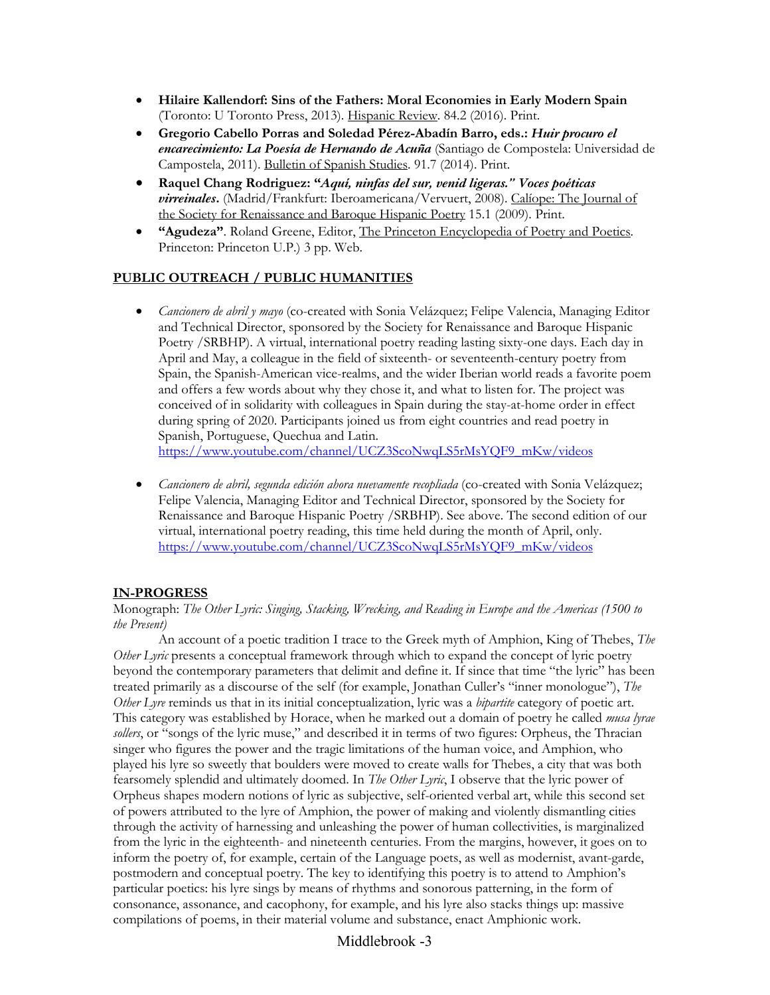- **Hilaire Kallendorf: Sins of the Fathers: Moral Economies in Early Modern Spain**  (Toronto: U Toronto Press, 2013). Hispanic Review. 84.2 (2016). Print.
- **Gregorio Cabello Porras and Soledad Pérez-Abadín Barro, eds.:** *Huir procuro el encarecimiento: La Poesía de Hernando de Acuña* (Santiago de Compostela: Universidad de Campostela, 2011). Bulletin of Spanish Studies. 91.7 (2014). Print.
- **Raquel Chang Rodriguez: "***Aquí, ninfas del sur, venid ligeras." Voces poéticas virreinales***.** (Madrid/Frankfurt: Iberoamericana/Vervuert, 2008). Calíope: The Journal of the Society for Renaissance and Baroque Hispanic Poetry 15.1 (2009). Print.
- **"Agudeza"**. Roland Greene, Editor, The Princeton Encyclopedia of Poetry and Poetics. Princeton: Princeton U.P.) 3 pp. Web.

### **PUBLIC OUTREACH / PUBLIC HUMANITIES**

- *Cancionero de abril y mayo* (co-created with Sonia Velázquez; Felipe Valencia, Managing Editor and Technical Director, sponsored by the Society for Renaissance and Baroque Hispanic Poetry /SRBHP). A virtual, international poetry reading lasting sixty-one days. Each day in April and May, a colleague in the field of sixteenth- or seventeenth-century poetry from Spain, the Spanish-American vice-realms, and the wider Iberian world reads a favorite poem and offers a few words about why they chose it, and what to listen for. The project was conceived of in solidarity with colleagues in Spain during the stay-at-home order in effect during spring of 2020. Participants joined us from eight countries and read poetry in Spanish, Portuguese, Quechua and Latin. https://www.youtube.com/channel/UCZ3ScoNwqLS5rMsYQF9\_mKw/videos
- *Cancionero de abril, segunda edición ahora nuevamente recopliada* (co-created with Sonia Velázquez; Felipe Valencia, Managing Editor and Technical Director, sponsored by the Society for Renaissance and Baroque Hispanic Poetry /SRBHP). See above. The second edition of our virtual, international poetry reading, this time held during the month of April, only. https://www.youtube.com/channel/UCZ3ScoNwqLS5rMsYQF9\_mKw/videos

### **IN-PROGRESS**

#### Monograph: *The Other Lyric: Singing, Stacking, Wrecking, and Reading in Europe and the Americas (1500 to the Present)*

An account of a poetic tradition I trace to the Greek myth of Amphion, King of Thebes, *The Other Lyric* presents a conceptual framework through which to expand the concept of lyric poetry beyond the contemporary parameters that delimit and define it. If since that time "the lyric" has been treated primarily as a discourse of the self (for example, Jonathan Culler's "inner monologue"), *The Other Lyre* reminds us that in its initial conceptualization, lyric was a *bipartite* category of poetic art. This category was established by Horace, when he marked out a domain of poetry he called *musa lyrae sollers*, or "songs of the lyric muse," and described it in terms of two figures: Orpheus, the Thracian singer who figures the power and the tragic limitations of the human voice, and Amphion, who played his lyre so sweetly that boulders were moved to create walls for Thebes, a city that was both fearsomely splendid and ultimately doomed. In *The Other Lyric*, I observe that the lyric power of Orpheus shapes modern notions of lyric as subjective, self-oriented verbal art, while this second set of powers attributed to the lyre of Amphion, the power of making and violently dismantling cities through the activity of harnessing and unleashing the power of human collectivities, is marginalized from the lyric in the eighteenth- and nineteenth centuries. From the margins, however, it goes on to inform the poetry of, for example, certain of the Language poets, as well as modernist, avant-garde, postmodern and conceptual poetry. The key to identifying this poetry is to attend to Amphion's particular poetics: his lyre sings by means of rhythms and sonorous patterning, in the form of consonance, assonance, and cacophony, for example, and his lyre also stacks things up: massive compilations of poems, in their material volume and substance, enact Amphionic work.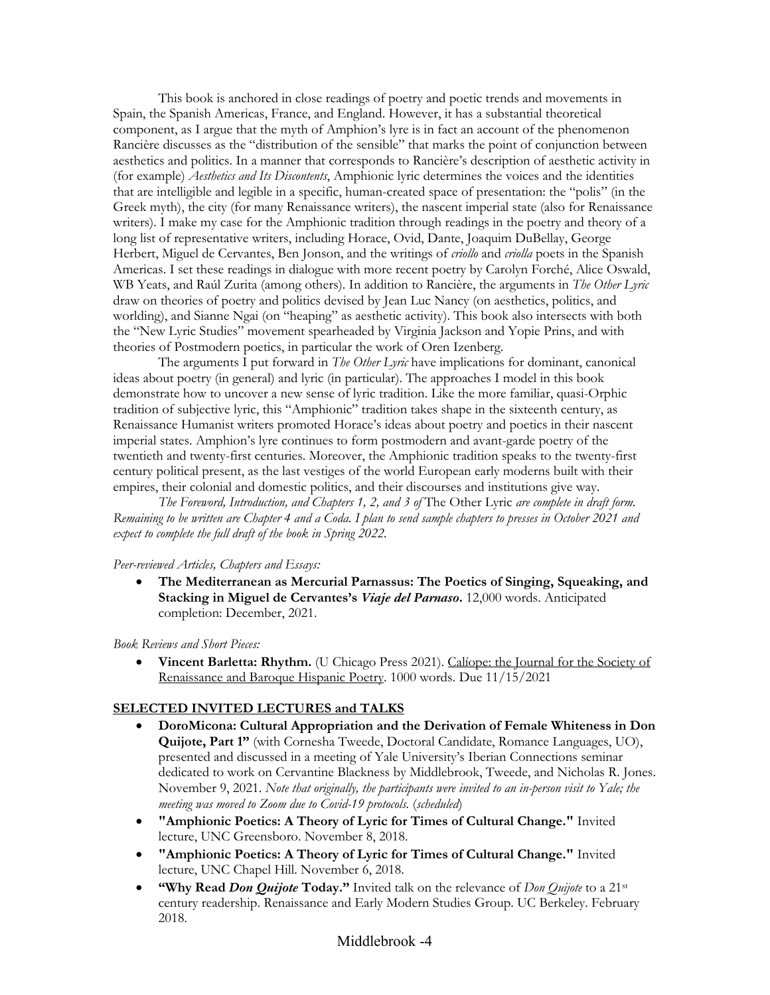This book is anchored in close readings of poetry and poetic trends and movements in Spain, the Spanish Americas, France, and England. However, it has a substantial theoretical component, as I argue that the myth of Amphion's lyre is in fact an account of the phenomenon Rancière discusses as the "distribution of the sensible" that marks the point of conjunction between aesthetics and politics. In a manner that corresponds to Rancière's description of aesthetic activity in (for example) *Aesthetics and Its Discontents*, Amphionic lyric determines the voices and the identities that are intelligible and legible in a specific, human-created space of presentation: the "polis" (in the Greek myth), the city (for many Renaissance writers), the nascent imperial state (also for Renaissance writers). I make my case for the Amphionic tradition through readings in the poetry and theory of a long list of representative writers, including Horace, Ovid, Dante, Joaquim DuBellay, George Herbert, Miguel de Cervantes, Ben Jonson, and the writings of *criollo* and *criolla* poets in the Spanish Americas. I set these readings in dialogue with more recent poetry by Carolyn Forché, Alice Oswald, WB Yeats, and Raúl Zurita (among others). In addition to Rancière, the arguments in *The Other Lyric* draw on theories of poetry and politics devised by Jean Luc Nancy (on aesthetics, politics, and worlding), and Sianne Ngai (on "heaping" as aesthetic activity). This book also intersects with both the "New Lyric Studies" movement spearheaded by Virginia Jackson and Yopie Prins, and with theories of Postmodern poetics, in particular the work of Oren Izenberg.

The arguments I put forward in *The Other Lyric* have implications for dominant, canonical ideas about poetry (in general) and lyric (in particular). The approaches I model in this book demonstrate how to uncover a new sense of lyric tradition. Like the more familiar, quasi-Orphic tradition of subjective lyric, this "Amphionic" tradition takes shape in the sixteenth century, as Renaissance Humanist writers promoted Horace's ideas about poetry and poetics in their nascent imperial states. Amphion's lyre continues to form postmodern and avant-garde poetry of the twentieth and twenty-first centuries. Moreover, the Amphionic tradition speaks to the twenty-first century political present, as the last vestiges of the world European early moderns built with their empires, their colonial and domestic politics, and their discourses and institutions give way.

*The Foreword, Introduction, and Chapters 1, 2, and 3 of* The Other Lyric *are complete in draft form. Remaining to be written are Chapter 4 and a Coda. I plan to send sample chapters to presses in October 2021 and expect to complete the full draft of the book in Spring 2022.*

#### *Peer-reviewed Articles, Chapters and Essays:*

• **The Mediterranean as Mercurial Parnassus: The Poetics of Singing, Squeaking, and Stacking in Miguel de Cervantes's** *Viaje del Parnaso***.** 12,000 words. Anticipated completion: December, 2021.

*Book Reviews and Short Pieces:*

• **Vincent Barletta: Rhythm.** (U Chicago Press 2021). Calíope: the Journal for the Society of Renaissance and Baroque Hispanic Poetry. 1000 words. Due 11/15/2021

### **SELECTED INVITED LECTURES and TALKS**

- **DoroMicona: Cultural Appropriation and the Derivation of Female Whiteness in Don Quijote, Part 1"** (with Cornesha Tweede, Doctoral Candidate, Romance Languages, UO), presented and discussed in a meeting of Yale University's Iberian Connections seminar dedicated to work on Cervantine Blackness by Middlebrook, Tweede, and Nicholas R. Jones. November 9, 2021. *Note that originally, the participants were invited to an in-person visit to Yale; the meeting was moved to Zoom due to Covid-19 protocols.* (*scheduled*)
- **"Amphionic Poetics: A Theory of Lyric for Times of Cultural Change."** Invited lecture, UNC Greensboro. November 8, 2018.
- **"Amphionic Poetics: A Theory of Lyric for Times of Cultural Change."** Invited lecture, UNC Chapel Hill. November 6, 2018.
- **"Why Read** *Don Quijote* **Today."** Invited talk on the relevance of *Don Quijote* to a 21st century readership. Renaissance and Early Modern Studies Group. UC Berkeley. February 2018.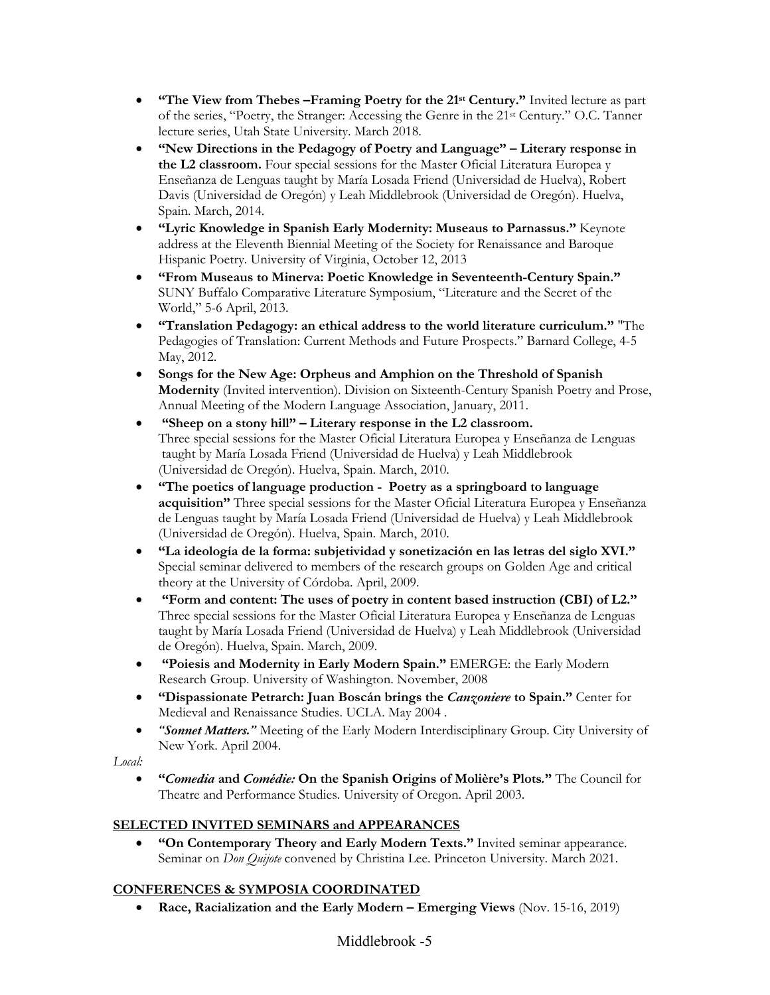- **"The View from Thebes –Framing Poetry for the 21st Century."** Invited lecture as part of the series, "Poetry, the Stranger: Accessing the Genre in the 21st Century." O.C. Tanner lecture series, Utah State University. March 2018.
- **"New Directions in the Pedagogy of Poetry and Language" – Literary response in the L2 classroom.** Four special sessions for the Master Oficial Literatura Europea y Enseñanza de Lenguas taught by María Losada Friend (Universidad de Huelva), Robert Davis (Universidad de Oregón) y Leah Middlebrook (Universidad de Oregón). Huelva, Spain. March, 2014.
- **"Lyric Knowledge in Spanish Early Modernity: Museaus to Parnassus."** Keynote address at the Eleventh Biennial Meeting of the Society for Renaissance and Baroque Hispanic Poetry. University of Virginia, October 12, 2013
- **"From Museaus to Minerva: Poetic Knowledge in Seventeenth-Century Spain."**  SUNY Buffalo Comparative Literature Symposium, "Literature and the Secret of the World," 5-6 April, 2013.
- **"Translation Pedagogy: an ethical address to the world literature curriculum."** "The Pedagogies of Translation: Current Methods and Future Prospects." Barnard College, 4-5 May, 2012.
- **Songs for the New Age: Orpheus and Amphion on the Threshold of Spanish Modernity** (Invited intervention). Division on Sixteenth-Century Spanish Poetry and Prose, Annual Meeting of the Modern Language Association, January, 2011.
- **"Sheep on a stony hill" – Literary response in the L2 classroom.** Three special sessions for the Master Oficial Literatura Europea y Enseñanza de Lenguas taught by María Losada Friend (Universidad de Huelva) y Leah Middlebrook (Universidad de Oregón). Huelva, Spain. March, 2010.
- **"The poetics of language production Poetry as a springboard to language acquisition"** Three special sessions for the Master Oficial Literatura Europea y Enseñanza de Lenguas taught by María Losada Friend (Universidad de Huelva) y Leah Middlebrook (Universidad de Oregón). Huelva, Spain. March, 2010.
- **"La ideología de la forma: subjetividad y sonetización en las letras del siglo XVI."** Special seminar delivered to members of the research groups on Golden Age and critical theory at the University of Córdoba. April, 2009.
- **"Form and content: The uses of poetry in content based instruction (CBI) of L2."** Three special sessions for the Master Oficial Literatura Europea y Enseñanza de Lenguas taught by María Losada Friend (Universidad de Huelva) y Leah Middlebrook (Universidad de Oregón). Huelva, Spain. March, 2009.
- **"Poiesis and Modernity in Early Modern Spain."** EMERGE: the Early Modern Research Group. University of Washington. November, 2008
- **"Dispassionate Petrarch: Juan Boscán brings the** *Canzoniere* **to Spain."** Center for Medieval and Renaissance Studies. UCLA. May 2004 .
- *"Sonnet Matters."* Meeting of the Early Modern Interdisciplinary Group. City University of New York. April 2004.

*Local:*

• **"***Comedia* **and** *Comédie:* **On the Spanish Origins of Molière's Plots***.***"** The Council for Theatre and Performance Studies. University of Oregon. April 2003.

# **SELECTED INVITED SEMINARS and APPEARANCES**

• **"On Contemporary Theory and Early Modern Texts."** Invited seminar appearance. Seminar on *Don Quijote* convened by Christina Lee. Princeton University. March 2021.

# **CONFERENCES & SYMPOSIA COORDINATED**

• **Race, Racialization and the Early Modern – Emerging Views** (Nov. 15-16, 2019)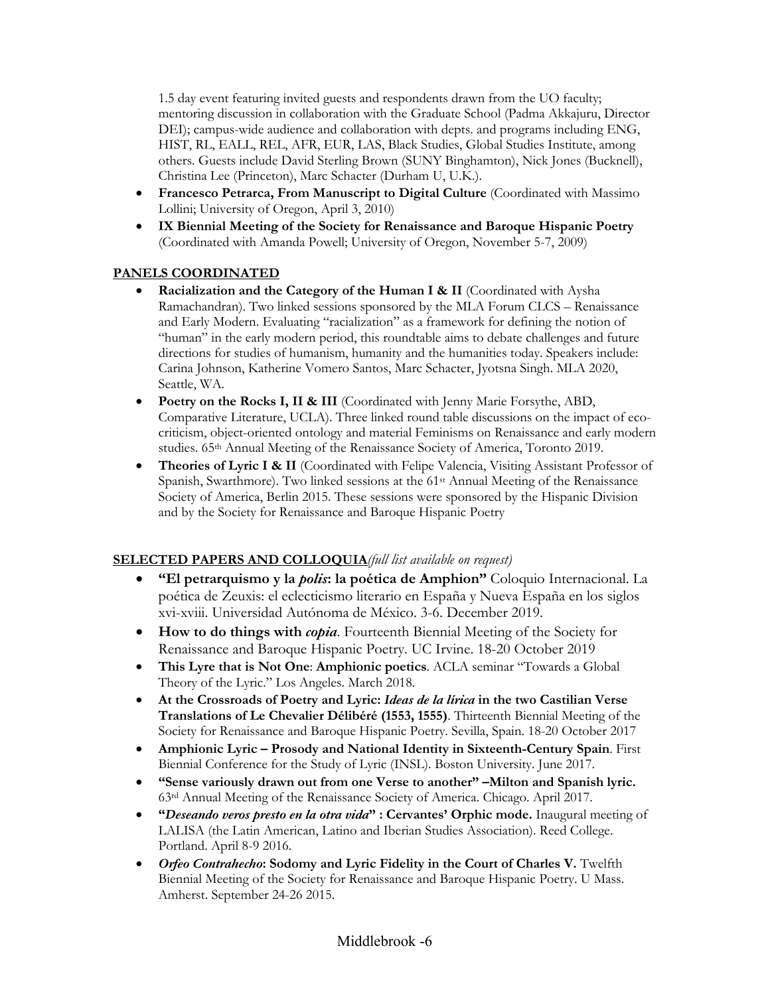1.5 day event featuring invited guests and respondents drawn from the UO faculty; mentoring discussion in collaboration with the Graduate School (Padma Akkajuru, Director DEI); campus-wide audience and collaboration with depts. and programs including ENG, HIST, RL, EALL, REL, AFR, EUR, LAS, Black Studies, Global Studies Institute, among others. Guests include David Sterling Brown (SUNY Binghamton), Nick Jones (Bucknell), Christina Lee (Princeton), Marc Schacter (Durham U, U.K.).

- **Francesco Petrarca, From Manuscript to Digital Culture** (Coordinated with Massimo Lollini; University of Oregon, April 3, 2010)
- **IX Biennial Meeting of the Society for Renaissance and Baroque Hispanic Poetry** (Coordinated with Amanda Powell; University of Oregon, November 5-7, 2009)

# **PANELS COORDINATED**

- **Racialization and the Category of the Human I & II** (Coordinated with Aysha Ramachandran). Two linked sessions sponsored by the MLA Forum CLCS – Renaissance and Early Modern. Evaluating "racialization" as a framework for defining the notion of "human" in the early modern period, this roundtable aims to debate challenges and future directions for studies of humanism, humanity and the humanities today. Speakers include: Carina Johnson, Katherine Vomero Santos, Marc Schacter, Jyotsna Singh. MLA 2020, Seattle, WA.
- **Poetry on the Rocks I, II & III** (Coordinated with Jenny Marie Forsythe, ABD, Comparative Literature, UCLA). Three linked round table discussions on the impact of ecocriticism, object-oriented ontology and material Feminisms on Renaissance and early modern studies. 65th Annual Meeting of the Renaissance Society of America, Toronto 2019.
- **Theories of Lyric I & II** (Coordinated with Felipe Valencia, Visiting Assistant Professor of Spanish, Swarthmore). Two linked sessions at the 61<sup>st</sup> Annual Meeting of the Renaissance Society of America, Berlin 2015. These sessions were sponsored by the Hispanic Division and by the Society for Renaissance and Baroque Hispanic Poetry

### **SELECTED PAPERS AND COLLOQUIA***(full list available on request)*

- **"El petrarquismo y la** *polis***: la poética de Amphion"** Coloquio Internacional. La poética de Zeuxis: el eclecticismo literario en España y Nueva España en los siglos xvi-xviii. Universidad Autónoma de México. 3-6. December 2019.
- **How to do things with** *copia*. Fourteenth Biennial Meeting of the Society for Renaissance and Baroque Hispanic Poetry. UC Irvine. 18-20 October 2019
- **This Lyre that is Not One**: **Amphionic poetics**. ACLA seminar "Towards a Global Theory of the Lyric." Los Angeles. March 2018.
- **At the Crossroads of Poetry and Lyric:** *Ideas de la lírica* **in the two Castilian Verse Translations of Le Chevalier Délibéré (1553, 1555)**. Thirteenth Biennial Meeting of the Society for Renaissance and Baroque Hispanic Poetry. Sevilla, Spain. 18-20 October 2017
- **Amphionic Lyric – Prosody and National Identity in Sixteenth-Century Spain**. First Biennial Conference for the Study of Lyric (INSL). Boston University. June 2017.
- **"Sense variously drawn out from one Verse to another" –Milton and Spanish lyric.** 63rd Annual Meeting of the Renaissance Society of America. Chicago. April 2017.
- **"***Deseando veros presto en la otra vida***" : Cervantes' Orphic mode.** Inaugural meeting of LALISA (the Latin American, Latino and Iberian Studies Association). Reed College. Portland. April 8-9 2016.
- *Orfeo Contrahecho***: Sodomy and Lyric Fidelity in the Court of Charles V.** Twelfth Biennial Meeting of the Society for Renaissance and Baroque Hispanic Poetry. U Mass. Amherst. September 24-26 2015.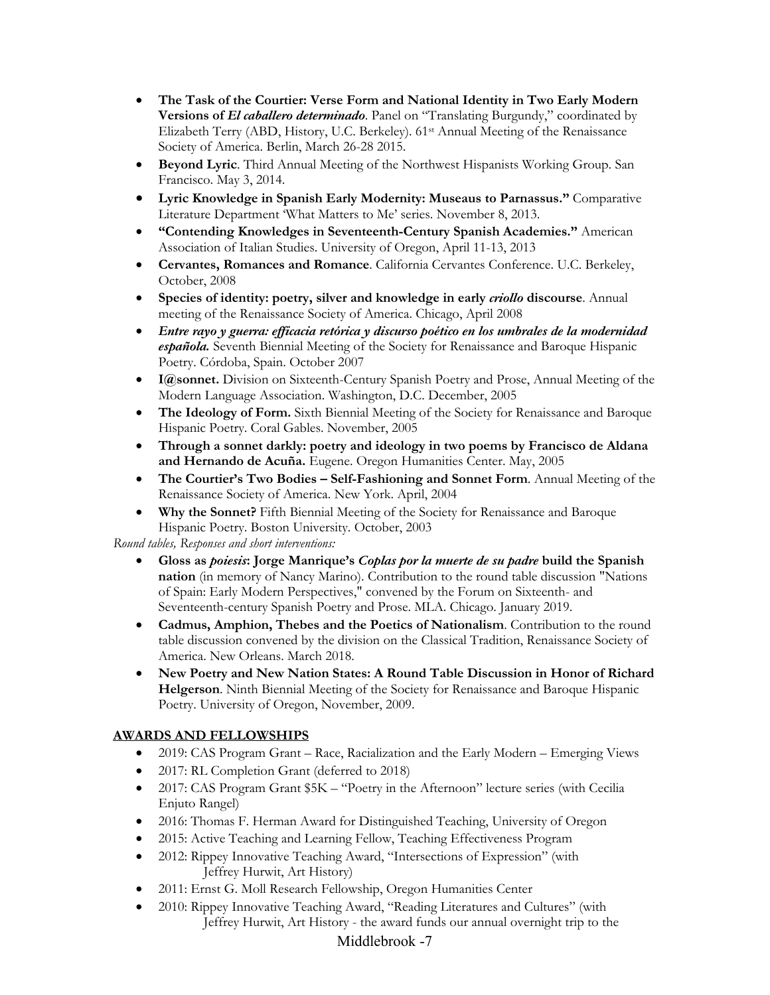- **The Task of the Courtier: Verse Form and National Identity in Two Early Modern Versions of** *El caballero determinado*. Panel on "Translating Burgundy," coordinated by Elizabeth Terry (ABD, History, U.C. Berkeley). 61st Annual Meeting of the Renaissance Society of America. Berlin, March 26-28 2015.
- **Beyond Lyric**. Third Annual Meeting of the Northwest Hispanists Working Group. San Francisco. May 3, 2014.
- **Lyric Knowledge in Spanish Early Modernity: Museaus to Parnassus."** Comparative Literature Department 'What Matters to Me' series. November 8, 2013.
- **"Contending Knowledges in Seventeenth-Century Spanish Academies."** American Association of Italian Studies. University of Oregon, April 11-13, 2013
- **Cervantes, Romances and Romance**. California Cervantes Conference. U.C. Berkeley, October, 2008
- **Species of identity: poetry, silver and knowledge in early** *criollo* **discourse**. Annual meeting of the Renaissance Society of America. Chicago, April 2008
- *Entre rayo y guerra: efficacia retórica y discurso poético en los umbrales de la modernidad española.* Seventh Biennial Meeting of the Society for Renaissance and Baroque Hispanic Poetry. Córdoba, Spain. October 2007
- **I@sonnet.** Division on Sixteenth-Century Spanish Poetry and Prose, Annual Meeting of the Modern Language Association. Washington, D.C. December, 2005
- **The Ideology of Form.** Sixth Biennial Meeting of the Society for Renaissance and Baroque Hispanic Poetry. Coral Gables. November, 2005
- **Through a sonnet darkly: poetry and ideology in two poems by Francisco de Aldana and Hernando de Acuña.** Eugene. Oregon Humanities Center. May, 2005
- **The Courtier's Two Bodies – Self-Fashioning and Sonnet Form**. Annual Meeting of the Renaissance Society of America. New York. April, 2004
- **Why the Sonnet?** Fifth Biennial Meeting of the Society for Renaissance and Baroque Hispanic Poetry. Boston University. October, 2003

*Round tables, Responses and short interventions:*

- **Gloss as** *poiesis***: Jorge Manrique's** *Coplas por la muerte de su padre* **build the Spanish nation** (in memory of Nancy Marino). Contribution to the round table discussion "Nations of Spain: Early Modern Perspectives," convened by the Forum on Sixteenth- and Seventeenth-century Spanish Poetry and Prose. MLA. Chicago. January 2019.
- **Cadmus, Amphion, Thebes and the Poetics of Nationalism**. Contribution to the round table discussion convened by the division on the Classical Tradition, Renaissance Society of America. New Orleans. March 2018.
- **New Poetry and New Nation States: A Round Table Discussion in Honor of Richard Helgerson**. Ninth Biennial Meeting of the Society for Renaissance and Baroque Hispanic Poetry. University of Oregon, November, 2009.

# **AWARDS AND FELLOWSHIPS**

- 2019: CAS Program Grant Race, Racialization and the Early Modern Emerging Views
- 2017: RL Completion Grant (deferred to 2018)
- 2017: CAS Program Grant  $$5K "Poetry in the Afternoon" lecture series (with Cecilia)$ Enjuto Rangel)
- 2016: Thomas F. Herman Award for Distinguished Teaching, University of Oregon
- 2015: Active Teaching and Learning Fellow, Teaching Effectiveness Program
- 2012: Rippey Innovative Teaching Award, "Intersections of Expression" (with Jeffrey Hurwit, Art History)
- 2011: Ernst G. Moll Research Fellowship, Oregon Humanities Center
- 2010: Rippey Innovative Teaching Award, "Reading Literatures and Cultures" (with Jeffrey Hurwit, Art History - the award funds our annual overnight trip to the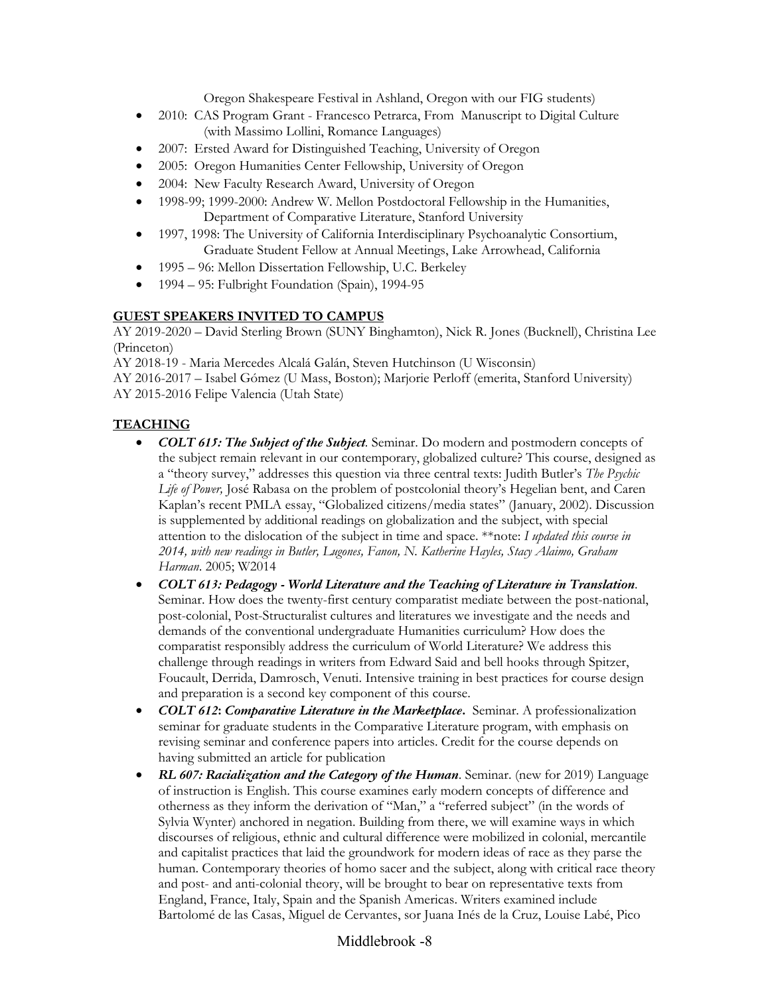Oregon Shakespeare Festival in Ashland, Oregon with our FIG students)

- 2010: CAS Program Grant Francesco Petrarca, From Manuscript to Digital Culture (with Massimo Lollini, Romance Languages)
- 2007: Ersted Award for Distinguished Teaching, University of Oregon
- 2005: Oregon Humanities Center Fellowship, University of Oregon
- 2004: New Faculty Research Award, University of Oregon
- 1998-99; 1999-2000: Andrew W. Mellon Postdoctoral Fellowship in the Humanities, Department of Comparative Literature, Stanford University
- 1997, 1998: The University of California Interdisciplinary Psychoanalytic Consortium, Graduate Student Fellow at Annual Meetings, Lake Arrowhead, California
- 1995 96: Mellon Dissertation Fellowship, U.C. Berkeley
- 1994 95: Fulbright Foundation (Spain), 1994-95

### **GUEST SPEAKERS INVITED TO CAMPUS**

AY 2019-2020 – David Sterling Brown (SUNY Binghamton), Nick R. Jones (Bucknell), Christina Lee (Princeton)

AY 2018-19 - Maria Mercedes Alcalá Galán, Steven Hutchinson (U Wisconsin) AY 2016-2017 – Isabel Gómez (U Mass, Boston); Marjorie Perloff (emerita, Stanford University) AY 2015-2016 Felipe Valencia (Utah State)

### **TEACHING**

- *COLT 615: The Subject of the Subject.* Seminar. Do modern and postmodern concepts of the subject remain relevant in our contemporary, globalized culture? This course, designed as a "theory survey," addresses this question via three central texts: Judith Butler's *The Psychic Life of Power,* José Rabasa on the problem of postcolonial theory's Hegelian bent, and Caren Kaplan's recent PMLA essay, "Globalized citizens/media states" (January, 2002). Discussion is supplemented by additional readings on globalization and the subject, with special attention to the dislocation of the subject in time and space. \*\*note: *I updated this course in 2014, with new readings in Butler, Lugones, Fanon, N. Katherine Hayles, Stacy Alaimo, Graham Harman*. 2005; W2014
- *COLT 613: Pedagogy - World Literature and the Teaching of Literature in Translation*. Seminar. How does the twenty-first century comparatist mediate between the post-national, post-colonial, Post-Structuralist cultures and literatures we investigate and the needs and demands of the conventional undergraduate Humanities curriculum? How does the comparatist responsibly address the curriculum of World Literature? We address this challenge through readings in writers from Edward Said and bell hooks through Spitzer, Foucault, Derrida, Damrosch, Venuti. Intensive training in best practices for course design and preparation is a second key component of this course.
- *COLT 612***:** *Comparative Literature in the Marketplace***.** Seminar. A professionalization seminar for graduate students in the Comparative Literature program, with emphasis on revising seminar and conference papers into articles. Credit for the course depends on having submitted an article for publication
- *RL 607: Racialization and the Category of the Human*. Seminar. (new for 2019) Language of instruction is English. This course examines early modern concepts of difference and otherness as they inform the derivation of "Man," a "referred subject" (in the words of Sylvia Wynter) anchored in negation. Building from there, we will examine ways in which discourses of religious, ethnic and cultural difference were mobilized in colonial, mercantile and capitalist practices that laid the groundwork for modern ideas of race as they parse the human. Contemporary theories of homo sacer and the subject, along with critical race theory and post- and anti-colonial theory, will be brought to bear on representative texts from England, France, Italy, Spain and the Spanish Americas. Writers examined include Bartolomé de las Casas, Miguel de Cervantes, sor Juana Inés de la Cruz, Louise Labé, Pico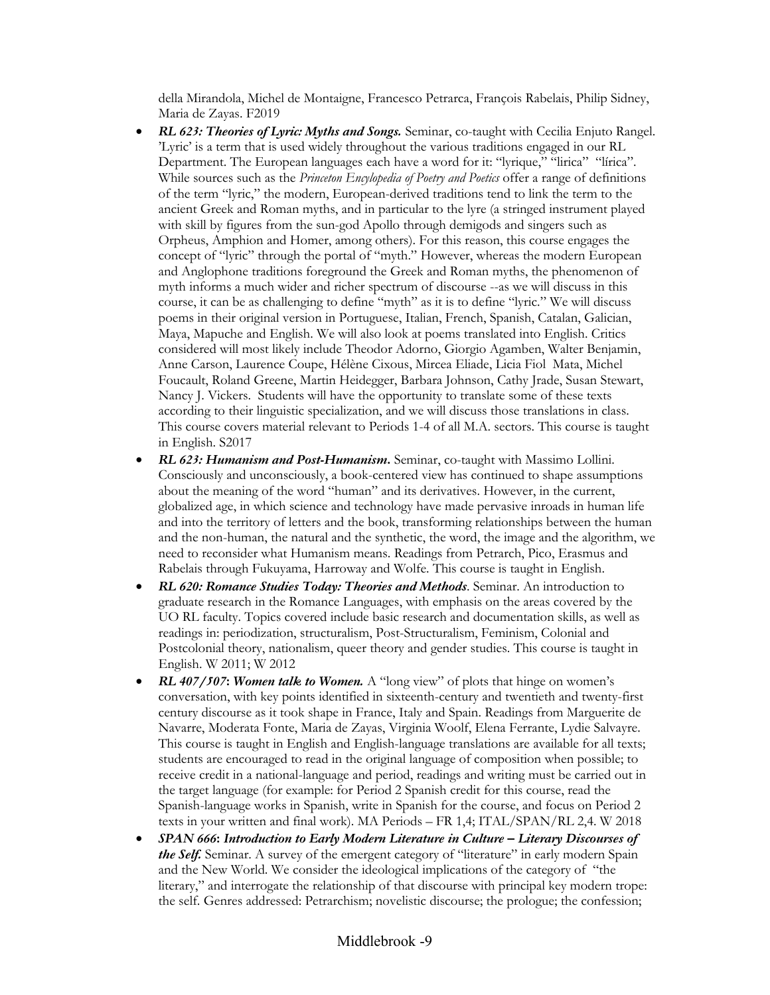della Mirandola, Michel de Montaigne, Francesco Petrarca, François Rabelais, Philip Sidney, Maria de Zayas. F2019

- *RL 623: Theories of Lyric: Myths and Songs.* Seminar, co-taught with Cecilia Enjuto Rangel. 'Lyric' is a term that is used widely throughout the various traditions engaged in our RL Department. The European languages each have a word for it: "lyrique," "lirica" "lírica". While sources such as the *Princeton Encylopedia of Poetry and Poetics* offer a range of definitions of the term "lyric," the modern, European-derived traditions tend to link the term to the ancient Greek and Roman myths, and in particular to the lyre (a stringed instrument played with skill by figures from the sun-god Apollo through demigods and singers such as Orpheus, Amphion and Homer, among others). For this reason, this course engages the concept of "lyric" through the portal of "myth." However, whereas the modern European and Anglophone traditions foreground the Greek and Roman myths, the phenomenon of myth informs a much wider and richer spectrum of discourse --as we will discuss in this course, it can be as challenging to define "myth" as it is to define "lyric." We will discuss poems in their original version in Portuguese, Italian, French, Spanish, Catalan, Galician, Maya, Mapuche and English. We will also look at poems translated into English. Critics considered will most likely include Theodor Adorno, Giorgio Agamben, Walter Benjamin, Anne Carson, Laurence Coupe, Hélène Cixous, Mircea Eliade, Licia Fiol Mata, Michel Foucault, Roland Greene, Martin Heidegger, Barbara Johnson, Cathy Jrade, Susan Stewart, Nancy J. Vickers. Students will have the opportunity to translate some of these texts according to their linguistic specialization, and we will discuss those translations in class. This course covers material relevant to Periods 1-4 of all M.A. sectors. This course is taught in English. S2017
- *RL 623: Humanism and Post-Humanism***.** Seminar, co-taught with Massimo Lollini. Consciously and unconsciously, a book-centered view has continued to shape assumptions about the meaning of the word "human" and its derivatives. However, in the current, globalized age, in which science and technology have made pervasive inroads in human life and into the territory of letters and the book, transforming relationships between the human and the non-human, the natural and the synthetic, the word, the image and the algorithm, we need to reconsider what Humanism means. Readings from Petrarch, Pico, Erasmus and Rabelais through Fukuyama, Harroway and Wolfe. This course is taught in English.
- *RL 620: Romance Studies Today: Theories and Methods*. Seminar. An introduction to graduate research in the Romance Languages, with emphasis on the areas covered by the UO RL faculty. Topics covered include basic research and documentation skills, as well as readings in: periodization, structuralism, Post-Structuralism, Feminism, Colonial and Postcolonial theory, nationalism, queer theory and gender studies. This course is taught in English. W 2011; W 2012
- *RL 407/507***:** *Women talk to Women.* A "long view" of plots that hinge on women's conversation, with key points identified in sixteenth-century and twentieth and twenty-first century discourse as it took shape in France, Italy and Spain. Readings from Marguerite de Navarre, Moderata Fonte, Maria de Zayas, Virginia Woolf, Elena Ferrante, Lydie Salvayre. This course is taught in English and English-language translations are available for all texts; students are encouraged to read in the original language of composition when possible; to receive credit in a national-language and period, readings and writing must be carried out in the target language (for example: for Period 2 Spanish credit for this course, read the Spanish-language works in Spanish, write in Spanish for the course, and focus on Period 2 texts in your written and final work). MA Periods – FR 1,4; ITAL/SPAN/RL 2,4. W 2018
- *SPAN 666***:** *Introduction to Early Modern Literature in Culture – Literary Discourses of the Self.* Seminar. A survey of the emergent category of "literature" in early modern Spain and the New World. We consider the ideological implications of the category of "the literary," and interrogate the relationship of that discourse with principal key modern trope: the self. Genres addressed: Petrarchism; novelistic discourse; the prologue; the confession;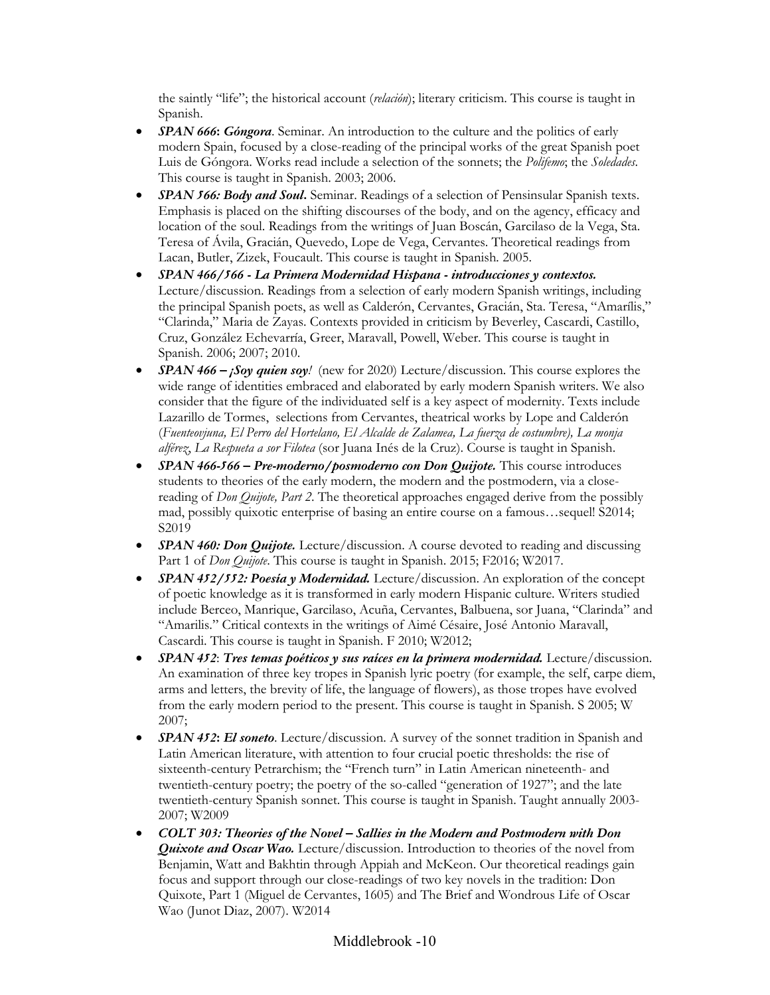the saintly "life"; the historical account (*relación*); literary criticism. This course is taught in Spanish.

- *SPAN 666*: *Góngora*. Seminar. An introduction to the culture and the politics of early modern Spain, focused by a close-reading of the principal works of the great Spanish poet Luis de Góngora. Works read include a selection of the sonnets; the *Polifemo*; the *Soledades*. This course is taught in Spanish. 2003; 2006.
- *SPAN 566: Body and Soul***.** Seminar. Readings of a selection of Pensinsular Spanish texts. Emphasis is placed on the shifting discourses of the body, and on the agency, efficacy and location of the soul. Readings from the writings of Juan Boscán, Garcilaso de la Vega, Sta. Teresa of Ávila, Gracián, Quevedo, Lope de Vega, Cervantes. Theoretical readings from Lacan, Butler, Zizek, Foucault. This course is taught in Spanish*.* 2005.
- *SPAN 466/566 - La Primera Modernidad Hispana - introducciones y contextos.* Lecture/discussion. Readings from a selection of early modern Spanish writings, including the principal Spanish poets, as well as Calderón, Cervantes, Gracián, Sta. Teresa, "Amarílis," "Clarinda," Maria de Zayas. Contexts provided in criticism by Beverley, Cascardi, Castillo, Cruz, González Echevarría, Greer, Maravall, Powell, Weber. This course is taught in Spanish. 2006; 2007; 2010.
- *SPAN 466 – ¡Soy quien soy!* (new for 2020) Lecture/discussion. This course explores the wide range of identities embraced and elaborated by early modern Spanish writers. We also consider that the figure of the individuated self is a key aspect of modernity. Texts include Lazarillo de Tormes, selections from Cervantes, theatrical works by Lope and Calderón (*Fuenteovjuna, El Perro del Hortelano, El Alcalde de Zalamea, La fuerza de costumbre), La monja alférez*, *La Respueta a sor Filotea* (sor Juana Inés de la Cruz). Course is taught in Spanish.
- *SPAN 466-566 – Pre-moderno/posmoderno con Don Quijote.* This course introduces students to theories of the early modern, the modern and the postmodern, via a closereading of *Don Quijote, Part 2*. The theoretical approaches engaged derive from the possibly mad, possibly quixotic enterprise of basing an entire course on a famous…sequel! S2014; S2019
- *SPAN 460: Don Quijote.* Lecture/discussion. A course devoted to reading and discussing Part 1 of *Don Quijote*. This course is taught in Spanish. 2015; F2016; W2017.
- *SPAN 452/552: Poesía y Modernidad.* Lecture/discussion. An exploration of the concept of poetic knowledge as it is transformed in early modern Hispanic culture. Writers studied include Berceo, Manrique, Garcilaso, Acuña, Cervantes, Balbuena, sor Juana, "Clarinda" and "Amarilis." Critical contexts in the writings of Aimé Césaire, José Antonio Maravall, Cascardi. This course is taught in Spanish. F 2010; W2012;
- *SPAN 452*: *Tres temas poéticos y sus raíces en la primera modernidad.* Lecture/discussion. An examination of three key tropes in Spanish lyric poetry (for example, the self, carpe diem, arms and letters, the brevity of life, the language of flowers), as those tropes have evolved from the early modern period to the present. This course is taught in Spanish. S 2005; W 2007;
- *SPAN 452***:** *El soneto*. Lecture/discussion. A survey of the sonnet tradition in Spanish and Latin American literature, with attention to four crucial poetic thresholds: the rise of sixteenth-century Petrarchism; the "French turn" in Latin American nineteenth- and twentieth-century poetry; the poetry of the so-called "generation of 1927"; and the late twentieth-century Spanish sonnet. This course is taught in Spanish. Taught annually 2003- 2007; W2009
- *COLT 303: Theories of the Novel – Sallies in the Modern and Postmodern with Don Quixote and Oscar Wao.* Lecture/discussion. Introduction to theories of the novel from Benjamin, Watt and Bakhtin through Appiah and McKeon. Our theoretical readings gain focus and support through our close-readings of two key novels in the tradition: Don Quixote, Part 1 (Miguel de Cervantes, 1605) and The Brief and Wondrous Life of Oscar Wao (Junot Diaz, 2007). W2014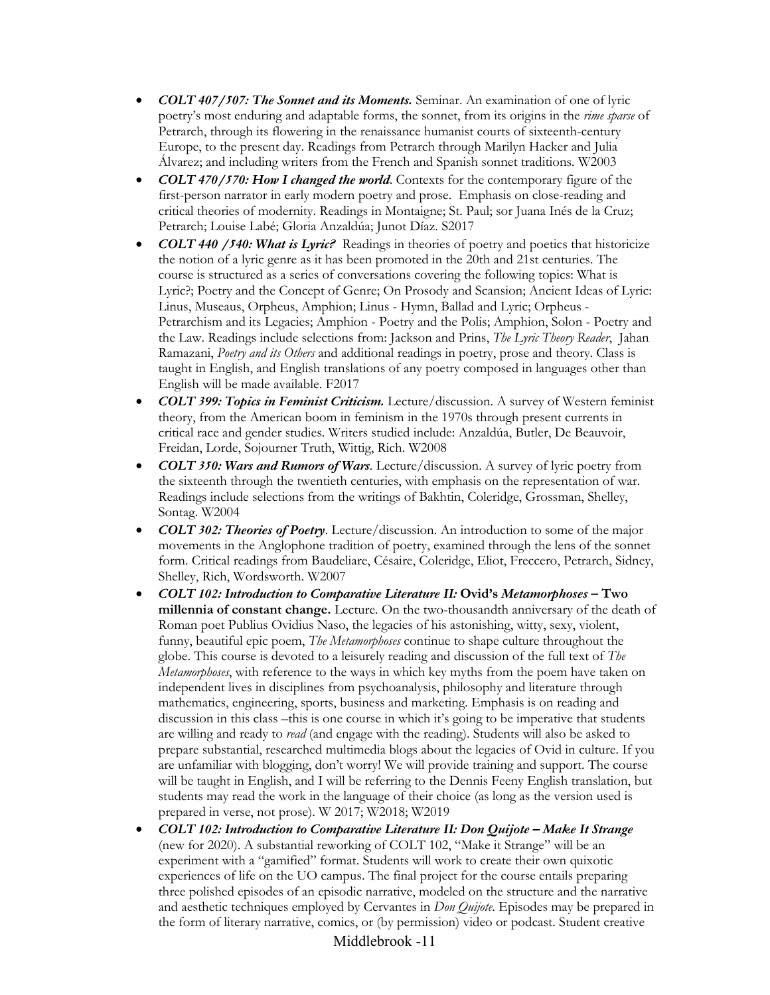- *COLT 407/507: The Sonnet and its Moments.* Seminar. An examination of one of lyric poetry's most enduring and adaptable forms, the sonnet, from its origins in the *rime sparse* of Petrarch, through its flowering in the renaissance humanist courts of sixteenth-century Europe, to the present day. Readings from Petrarch through Marilyn Hacker and Julia Álvarez; and including writers from the French and Spanish sonnet traditions*.* W2003
- *COLT 470/570: How I changed the world*. Contexts for the contemporary figure of the first-person narrator in early modern poetry and prose. Emphasis on close-reading and critical theories of modernity. Readings in Montaigne; St. Paul; sor Juana Inés de la Cruz; Petrarch; Louise Labé; Gloria Anzaldúa; Junot Díaz. S2017
- *COLT 440 /540: What is Lyric?* Readings in theories of poetry and poetics that historicize the notion of a lyric genre as it has been promoted in the 20th and 21st centuries. The course is structured as a series of conversations covering the following topics: What is Lyric?; Poetry and the Concept of Genre; On Prosody and Scansion; Ancient Ideas of Lyric: Linus, Museaus, Orpheus, Amphion; Linus - Hymn, Ballad and Lyric; Orpheus - Petrarchism and its Legacies; Amphion - Poetry and the Polis; Amphion, Solon - Poetry and the Law. Readings include selections from: Jackson and Prins, *The Lyric Theory Reader*, Jahan Ramazani, *Poetry and its Others* and additional readings in poetry, prose and theory. Class is taught in English, and English translations of any poetry composed in languages other than English will be made available. F2017
- *COLT 399: Topics in Feminist Criticism.* Lecture/discussion. A survey of Western feminist theory, from the American boom in feminism in the 1970s through present currents in critical race and gender studies. Writers studied include: Anzaldúa, Butler, De Beauvoir, Freidan, Lorde, Sojourner Truth, Wittig, Rich. W2008
- *COLT 350: Wars and Rumors of Wars.* Lecture/discussion. A survey of lyric poetry from the sixteenth through the twentieth centuries, with emphasis on the representation of war. Readings include selections from the writings of Bakhtin, Coleridge, Grossman, Shelley, Sontag. W2004
- *COLT 302: Theories of Poetry*. Lecture/discussion. An introduction to some of the major movements in the Anglophone tradition of poetry, examined through the lens of the sonnet form. Critical readings from Baudeliare, Césaire, Coleridge, Eliot, Freccero, Petrarch, Sidney, Shelley, Rich, Wordsworth. W2007
- *COLT 102: Introduction to Comparative Literature II:* **Ovid's** *Metamorphoses* **– Two millennia of constant change.** Lecture. On the two-thousandth anniversary of the death of Roman poet Publius Ovidius Naso, the legacies of his astonishing, witty, sexy, violent, funny, beautiful epic poem, *The Metamorphoses* continue to shape culture throughout the globe. This course is devoted to a leisurely reading and discussion of the full text of *The Metamorphoses*, with reference to the ways in which key myths from the poem have taken on independent lives in disciplines from psychoanalysis, philosophy and literature through mathematics, engineering, sports, business and marketing. Emphasis is on reading and discussion in this class –this is one course in which it's going to be imperative that students are willing and ready to *read* (and engage with the reading). Students will also be asked to prepare substantial, researched multimedia blogs about the legacies of Ovid in culture. If you are unfamiliar with blogging, don't worry! We will provide training and support. The course will be taught in English, and I will be referring to the Dennis Feeny English translation, but students may read the work in the language of their choice (as long as the version used is prepared in verse, not prose). W 2017; W2018; W2019
- *COLT 102: Introduction to Comparative Literature II: Don Quijote – Make It Strange* (new for 2020). A substantial reworking of COLT 102, "Make it Strange" will be an experiment with a "gamified" format. Students will work to create their own quixotic experiences of life on the UO campus. The final project for the course entails preparing three polished episodes of an episodic narrative, modeled on the structure and the narrative and aesthetic techniques employed by Cervantes in *Don Quijote*. Episodes may be prepared in the form of literary narrative, comics, or (by permission) video or podcast. Student creative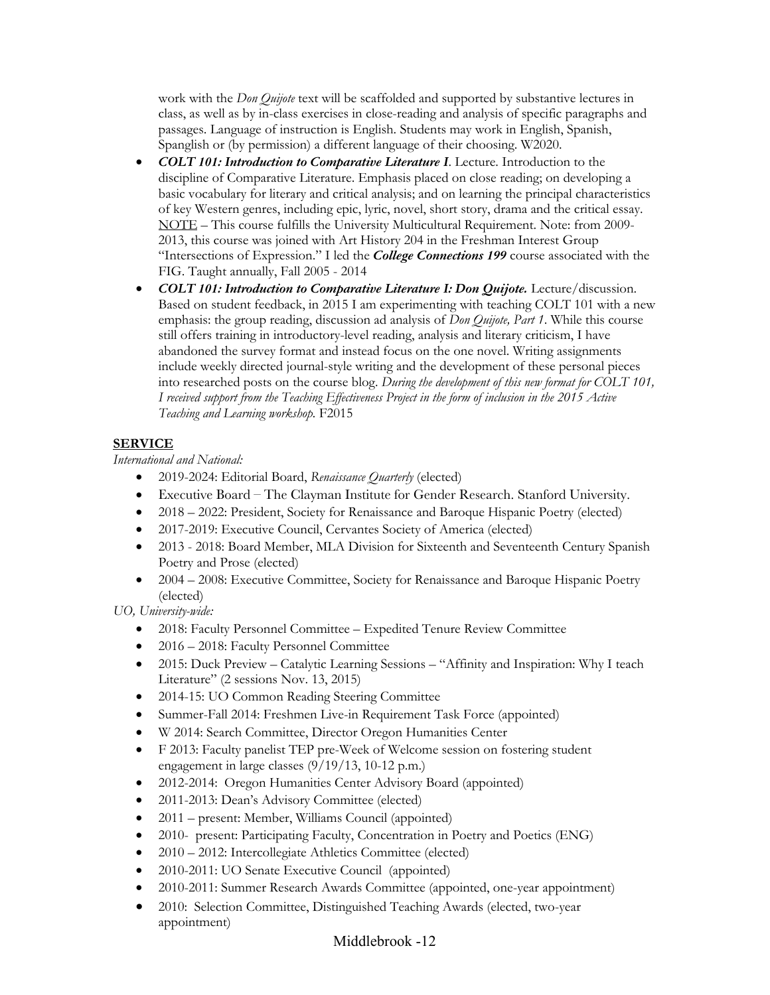work with the *Don Quijote* text will be scaffolded and supported by substantive lectures in class, as well as by in-class exercises in close-reading and analysis of specific paragraphs and passages. Language of instruction is English. Students may work in English, Spanish, Spanglish or (by permission) a different language of their choosing. W2020.

- *COLT 101: Introduction to Comparative Literature I*. Lecture. Introduction to the discipline of Comparative Literature. Emphasis placed on close reading; on developing a basic vocabulary for literary and critical analysis; and on learning the principal characteristics of key Western genres, including epic, lyric, novel, short story, drama and the critical essay. NOTE – This course fulfills the University Multicultural Requirement. Note: from 2009- 2013, this course was joined with Art History 204 in the Freshman Interest Group "Intersections of Expression." I led the *College Connections 199* course associated with the FIG. Taught annually, Fall 2005 - 2014
- *COLT 101: Introduction to Comparative Literature I: Don Quijote.* Lecture/discussion. Based on student feedback, in 2015 I am experimenting with teaching COLT 101 with a new emphasis: the group reading, discussion ad analysis of *Don Quijote, Part 1*. While this course still offers training in introductory-level reading, analysis and literary criticism, I have abandoned the survey format and instead focus on the one novel. Writing assignments include weekly directed journal-style writing and the development of these personal pieces into researched posts on the course blog. *During the development of this new format for COLT 101, I received support from the Teaching Effectiveness Project in the form of inclusion in the 2015 Active Teaching and Learning workshop.* F2015

# **SERVICE**

*International and National:*

- 2019-2024: Editorial Board, *Renaissance Quarterly* (elected)
- Executive Board The Clayman Institute for Gender Research. Stanford University.
- 2018 2022: President, Society for Renaissance and Baroque Hispanic Poetry (elected)
- 2017-2019: Executive Council, Cervantes Society of America (elected)
- 2013 2018: Board Member, MLA Division for Sixteenth and Seventeenth Century Spanish Poetry and Prose (elected)
- 2004 2008: Executive Committee, Society for Renaissance and Baroque Hispanic Poetry (elected)

*UO, University-wide:*

- 2018: Faculty Personnel Committee Expedited Tenure Review Committee
- 2016 2018: Faculty Personnel Committee
- 2015: Duck Preview Catalytic Learning Sessions "Affinity and Inspiration: Why I teach Literature" (2 sessions Nov. 13, 2015)
- 2014-15: UO Common Reading Steering Committee
- Summer-Fall 2014: Freshmen Live-in Requirement Task Force (appointed)
- W 2014: Search Committee, Director Oregon Humanities Center
- F 2013: Faculty panelist TEP pre-Week of Welcome session on fostering student engagement in large classes (9/19/13, 10-12 p.m.)
- 2012-2014:Oregon Humanities Center Advisory Board (appointed)
- 2011-2013: Dean's Advisory Committee (elected)
- 2011 present: Member, Williams Council (appointed)
- 2010- present: Participating Faculty, Concentration in Poetry and Poetics (ENG)
- 2010 2012: Intercollegiate Athletics Committee (elected)
- 2010-2011: UO Senate Executive Council (appointed)
- 2010-2011: Summer Research Awards Committee (appointed, one-year appointment)
- 2010: Selection Committee, Distinguished Teaching Awards (elected, two-year appointment)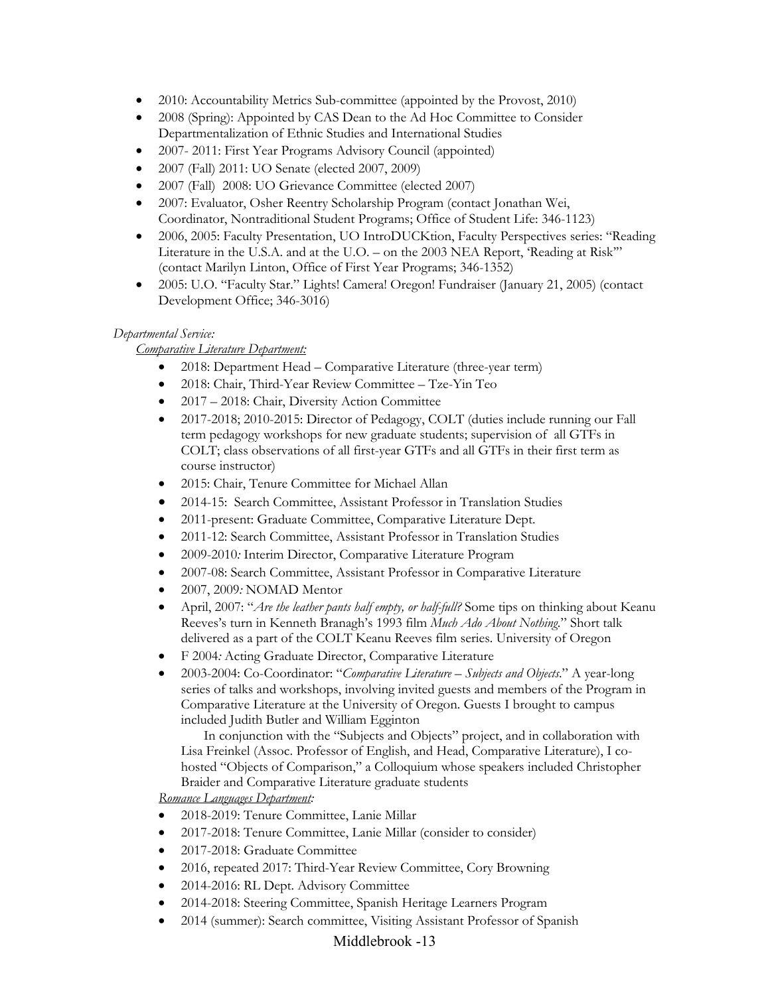- 2010: Accountability Metrics Sub-committee (appointed by the Provost, 2010)
- 2008 (Spring): Appointed by CAS Dean to the Ad Hoc Committee to Consider Departmentalization of Ethnic Studies and International Studies
- 2007- 2011: First Year Programs Advisory Council (appointed)
- 2007 (Fall) 2011: UO Senate (elected 2007, 2009)
- 2007 (Fall) 2008: UO Grievance Committee (elected 2007)
- 2007: Evaluator, Osher Reentry Scholarship Program (contact Jonathan Wei, Coordinator, Nontraditional Student Programs; Office of Student Life: 346-1123)
- 2006, 2005: Faculty Presentation, UO IntroDUCKtion, Faculty Perspectives series: "Reading Literature in the U.S.A. and at the U.O. – on the 2003 NEA Report, 'Reading at Risk'" (contact Marilyn Linton, Office of First Year Programs; 346-1352)
- 2005: U.O. "Faculty Star." Lights! Camera! Oregon! Fundraiser (January 21, 2005) (contact Development Office; 346-3016)

### *Departmental Service:*

### *Comparative Literature Department:*

- 2018: Department Head Comparative Literature (three-year term)
- 2018: Chair, Third-Year Review Committee Tze-Yin Teo
- 2017 2018: Chair, Diversity Action Committee
- 2017-2018; 2010-2015: Director of Pedagogy, COLT (duties include running our Fall term pedagogy workshops for new graduate students; supervision of all GTFs in COLT; class observations of all first-year GTFs and all GTFs in their first term as course instructor)
- 2015: Chair, Tenure Committee for Michael Allan
- 2014-15: Search Committee, Assistant Professor in Translation Studies
- 2011-present: Graduate Committee, Comparative Literature Dept.
- 2011-12: Search Committee, Assistant Professor in Translation Studies
- 2009-2010*:* Interim Director, Comparative Literature Program
- 2007-08: Search Committee, Assistant Professor in Comparative Literature
- 2007, 2009*:* NOMAD Mentor
- April, 2007: "*Are the leather pants half empty, or half-full?* Some tips on thinking about Keanu Reeves's turn in Kenneth Branagh's 1993 film *Much Ado About Nothing*." Short talk delivered as a part of the COLT Keanu Reeves film series. University of Oregon
- F 2004*:* Acting Graduate Director, Comparative Literature
- 2003-2004: Co-Coordinator: "*Comparative Literature – Subjects and Objects*." A year-long series of talks and workshops, involving invited guests and members of the Program in Comparative Literature at the University of Oregon. Guests I brought to campus included Judith Butler and William Egginton

In conjunction with the "Subjects and Objects" project, and in collaboration with Lisa Freinkel (Assoc. Professor of English, and Head, Comparative Literature), I cohosted "Objects of Comparison," a Colloquium whose speakers included Christopher Braider and Comparative Literature graduate students

*Romance Languages Department:* 

- 2018-2019: Tenure Committee, Lanie Millar
- 2017-2018: Tenure Committee, Lanie Millar (consider to consider)
- 2017-2018: Graduate Committee
- 2016, repeated 2017: Third-Year Review Committee, Cory Browning
- 2014-2016: RL Dept. Advisory Committee
- 2014-2018: Steering Committee, Spanish Heritage Learners Program
- 2014 (summer): Search committee, Visiting Assistant Professor of Spanish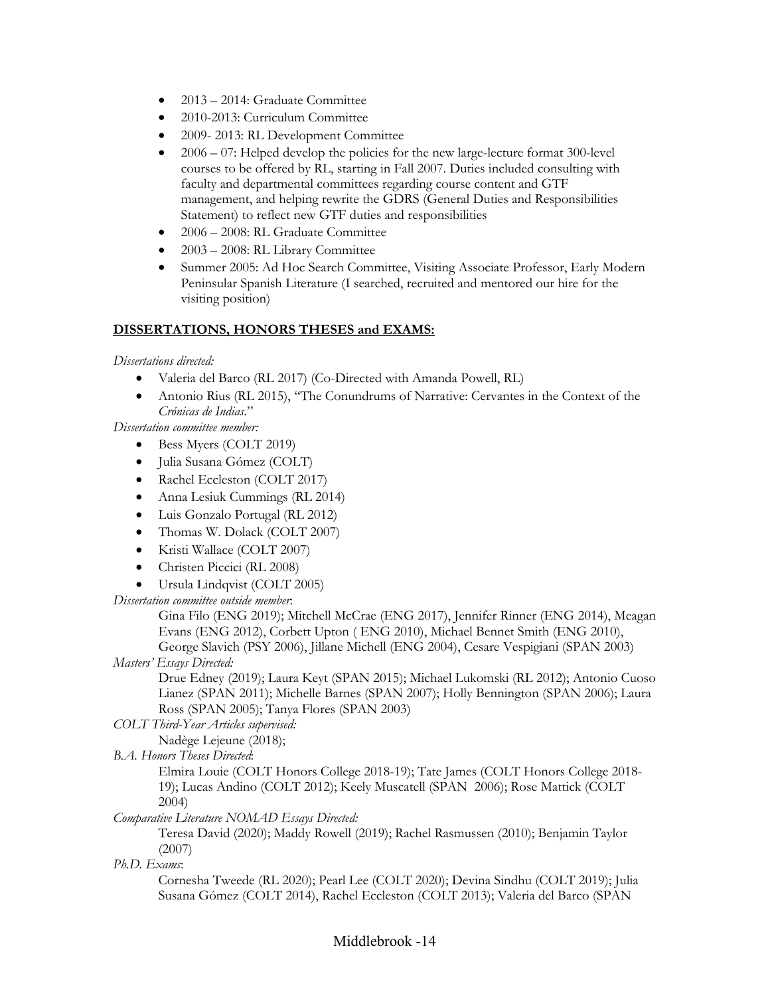- 2013 2014: Graduate Committee
- 2010-2013: Curriculum Committee
- 2009-2013: RL Development Committee
- $\bullet$  2006 07: Helped develop the policies for the new large-lecture format 300-level courses to be offered by RL, starting in Fall 2007. Duties included consulting with faculty and departmental committees regarding course content and GTF management, and helping rewrite the GDRS (General Duties and Responsibilities Statement) to reflect new GTF duties and responsibilities
- 2006 2008: RL Graduate Committee
- 2003 2008: RL Library Committee
- Summer 2005: Ad Hoc Search Committee, Visiting Associate Professor, Early Modern Peninsular Spanish Literature (I searched, recruited and mentored our hire for the visiting position)

# **DISSERTATIONS, HONORS THESES and EXAMS:**

### *Dissertations directed:*

- Valeria del Barco (RL 2017) (Co-Directed with Amanda Powell, RL)
- Antonio Rius (RL 2015), "The Conundrums of Narrative: Cervantes in the Context of the *Crónicas de Indias.*"

*Dissertation committee member:*

- Bess Myers (COLT 2019)
- Julia Susana Gómez (COLT)
- Rachel Eccleston (COLT 2017)
- Anna Lesiuk Cummings (RL 2014)
- Luis Gonzalo Portugal (RL 2012)
- Thomas W. Dolack (COLT 2007)
- Kristi Wallace (COLT 2007)
- Christen Piccici (RL 2008)
- Ursula Lindqvist (COLT 2005)

*Dissertation committee outside member*:

Gina Filo (ENG 2019); Mitchell McCrae (ENG 2017), Jennifer Rinner (ENG 2014), Meagan Evans (ENG 2012), Corbett Upton ( ENG 2010), Michael Bennet Smith (ENG 2010), George Slavich (PSY 2006), Jillane Michell (ENG 2004), Cesare Vespigiani (SPAN 2003)

# *Masters' Essays Directed:*

Drue Edney (2019); Laura Keyt (SPAN 2015); Michael Lukomski (RL 2012); Antonio Cuoso Lianez (SPAN 2011); Michelle Barnes (SPAN 2007); Holly Bennington (SPAN 2006); Laura Ross (SPAN 2005); Tanya Flores (SPAN 2003)

*COLT Third-Year Articles supervised:* 

Nadège Lejeune (2018);

*B.A. Honors Theses Directed*:

Elmira Louie (COLT Honors College 2018-19); Tate James (COLT Honors College 2018- 19); Lucas Andino (COLT 2012); Keely Muscatell (SPAN 2006); Rose Mattick (COLT 2004)

*Comparative Literature NOMAD Essays Directed:*

Teresa David (2020); Maddy Rowell (2019); Rachel Rasmussen (2010); Benjamin Taylor (2007)

*Ph.D. Exams*:

Cornesha Tweede (RL 2020); Pearl Lee (COLT 2020); Devina Sindhu (COLT 2019); Julia Susana Gómez (COLT 2014), Rachel Eccleston (COLT 2013); Valeria del Barco (SPAN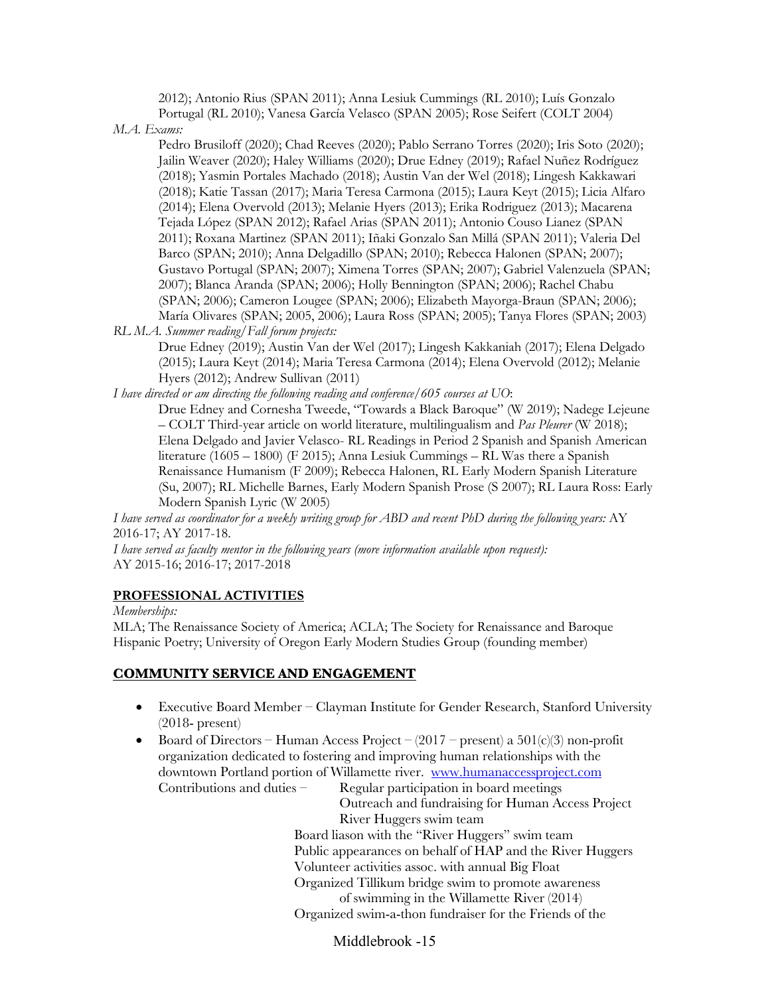2012); Antonio Rius (SPAN 2011); Anna Lesiuk Cummings (RL 2010); Luís Gonzalo Portugal (RL 2010); Vanesa García Velasco (SPAN 2005); Rose Seifert (COLT 2004)

*M.A. Exams:*

Pedro Brusiloff (2020); Chad Reeves (2020); Pablo Serrano Torres (2020); Iris Soto (2020); Jailin Weaver (2020); Haley Williams (2020); Drue Edney (2019); Rafael Nuñez Rodríguez (2018); Yasmin Portales Machado (2018); Austin Van der Wel (2018); Lingesh Kakkawari (2018); Katie Tassan (2017); Maria Teresa Carmona (2015); Laura Keyt (2015); Licia Alfaro (2014); Elena Overvold (2013); Melanie Hyers (2013); Erika Rodriguez (2013); Macarena Tejada López (SPAN 2012); Rafael Arias (SPAN 2011); Antonio Couso Lianez (SPAN 2011); Roxana Martinez (SPAN 2011); Iñaki Gonzalo San Millá (SPAN 2011); Valeria Del Barco (SPAN; 2010); Anna Delgadillo (SPAN; 2010); Rebecca Halonen (SPAN; 2007); Gustavo Portugal (SPAN; 2007); Ximena Torres (SPAN; 2007); Gabriel Valenzuela (SPAN; 2007); Blanca Aranda (SPAN; 2006); Holly Bennington (SPAN; 2006); Rachel Chabu (SPAN; 2006); Cameron Lougee (SPAN; 2006); Elizabeth Mayorga-Braun (SPAN; 2006); María Olivares (SPAN; 2005, 2006); Laura Ross (SPAN; 2005); Tanya Flores (SPAN; 2003)

*RL M.A. Summer reading/Fall forum projects:*

Drue Edney (2019); Austin Van der Wel (2017); Lingesh Kakkaniah (2017); Elena Delgado (2015); Laura Keyt (2014); Maria Teresa Carmona (2014); Elena Overvold (2012); Melanie Hyers (2012); Andrew Sullivan (2011)

*I have directed or am directing the following reading and conference/605 courses at UO*:

Drue Edney and Cornesha Tweede, "Towards a Black Baroque" (W 2019); Nadege Lejeune – COLT Third-year article on world literature, multilingualism and *Pas Pleurer* (W 2018); Elena Delgado and Javier Velasco- RL Readings in Period 2 Spanish and Spanish American literature (1605 – 1800) (F 2015); Anna Lesiuk Cummings – RL Was there a Spanish Renaissance Humanism (F 2009); Rebecca Halonen, RL Early Modern Spanish Literature (Su, 2007); RL Michelle Barnes, Early Modern Spanish Prose (S 2007); RL Laura Ross: Early Modern Spanish Lyric (W 2005)

*I have served as coordinator for a weekly writing group for ABD and recent PhD during the following years:* AY 2016-17; AY 2017-18.

*I have served as faculty mentor in the following years (more information available upon request):* AY 2015-16; 2016-17; 2017-2018

### **PROFESSIONAL ACTIVITIES**

*Memberships:*

MLA; The Renaissance Society of America; ACLA; The Society for Renaissance and Baroque Hispanic Poetry; University of Oregon Early Modern Studies Group (founding member)

# **COMMUNITY SERVICE AND ENGAGEMENT**

- Executive Board Member Clayman Institute for Gender Research, Stanford University (2018- present)
- Board of Directors Human Access Project  $(2017$  present) a  $501(c)(3)$  non-profit organization dedicated to fostering and improving human relationships with the downtown Portland portion of Willamette river. www.humanaccessproject.com Contributions and duties – Regular participation in board meetings

Outreach and fundraising for Human Access Project River Huggers swim team Board liason with the "River Huggers" swim team Public appearances on behalf of HAP and the River Huggers Volunteer activities assoc. with annual Big Float Organized Tillikum bridge swim to promote awareness of swimming in the Willamette River (2014) Organized swim-a-thon fundraiser for the Friends of the